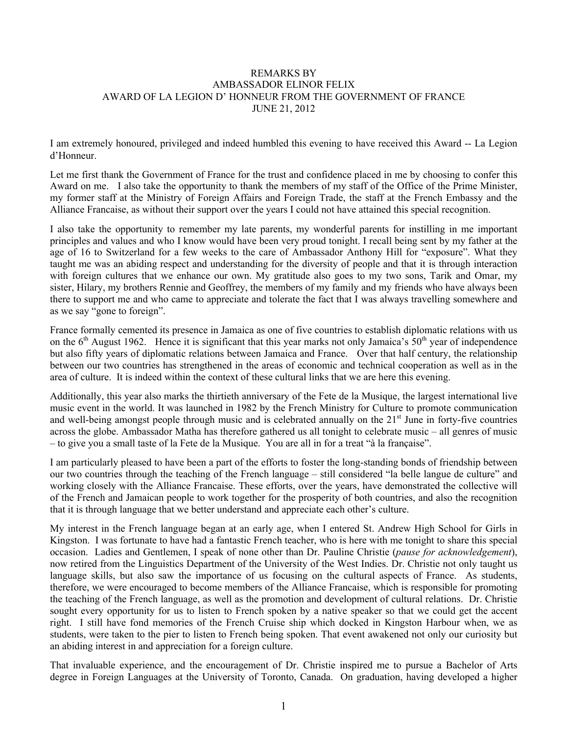## REMARKS BY AMBASSADOR ELINOR FELIX AWARD OF LA LEGION D' HONNEUR FROM THE GOVERNMENT OF FRANCE JUNE 21, 2012

I am extremely honoured, privileged and indeed humbled this evening to have received this Award -- La Legion d'Honneur.

Let me first thank the Government of France for the trust and confidence placed in me by choosing to confer this Award on me. I also take the opportunity to thank the members of my staff of the Office of the Prime Minister, my former staff at the Ministry of Foreign Affairs and Foreign Trade, the staff at the French Embassy and the Alliance Francaise, as without their support over the years I could not have attained this special recognition.

I also take the opportunity to remember my late parents, my wonderful parents for instilling in me important principles and values and who I know would have been very proud tonight. I recall being sent by my father at the age of 16 to Switzerland for a few weeks to the care of Ambassador Anthony Hill for "exposure". What they taught me was an abiding respect and understanding for the diversity of people and that it is through interaction with foreign cultures that we enhance our own. My gratitude also goes to my two sons, Tarik and Omar, my sister, Hilary, my brothers Rennie and Geoffrey, the members of my family and my friends who have always been there to support me and who came to appreciate and tolerate the fact that I was always travelling somewhere and as we say "gone to foreign".

France formally cemented its presence in Jamaica as one of five countries to establish diplomatic relations with us on the  $6<sup>th</sup>$  August 1962. Hence it is significant that this year marks not only Jamaica's  $50<sup>th</sup>$  year of independence but also fifty years of diplomatic relations between Jamaica and France. Over that half century, the relationship between our two countries has strengthened in the areas of economic and technical cooperation as well as in the area of culture. It is indeed within the context of these cultural links that we are here this evening.

Additionally, this year also marks the thirtieth anniversary of the Fete de la Musique, the largest international live music event in the world. It was launched in 1982 by the French Ministry for Culture to promote communication and well-being amongst people through music and is celebrated annually on the 21<sup>st</sup> June in forty-five countries across the globe. Ambassador Matha has therefore gathered us all tonight to celebrate music – all genres of music – to give you a small taste of la Fete de la Musique. You are all in for a treat "à la française".

I am particularly pleased to have been a part of the efforts to foster the long-standing bonds of friendship between our two countries through the teaching of the French language – still considered "la belle langue de culture" and working closely with the Alliance Francaise. These efforts, over the years, have demonstrated the collective will of the French and Jamaican people to work together for the prosperity of both countries, and also the recognition that it is through language that we better understand and appreciate each other's culture.

My interest in the French language began at an early age, when I entered St. Andrew High School for Girls in Kingston. I was fortunate to have had a fantastic French teacher, who is here with me tonight to share this special occasion. Ladies and Gentlemen, I speak of none other than Dr. Pauline Christie (*pause for acknowledgement*), now retired from the Linguistics Department of the University of the West Indies. Dr. Christie not only taught us language skills, but also saw the importance of us focusing on the cultural aspects of France. As students, therefore, we were encouraged to become members of the Alliance Francaise, which is responsible for promoting the teaching of the French language, as well as the promotion and development of cultural relations. Dr. Christie sought every opportunity for us to listen to French spoken by a native speaker so that we could get the accent right. I still have fond memories of the French Cruise ship which docked in Kingston Harbour when, we as students, were taken to the pier to listen to French being spoken. That event awakened not only our curiosity but an abiding interest in and appreciation for a foreign culture.

That invaluable experience, and the encouragement of Dr. Christie inspired me to pursue a Bachelor of Arts degree in Foreign Languages at the University of Toronto, Canada. On graduation, having developed a higher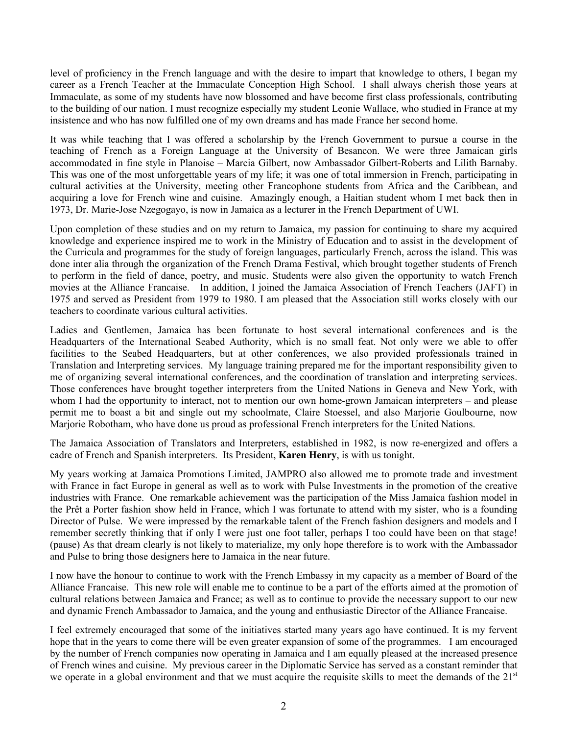level of proficiency in the French language and with the desire to impart that knowledge to others, I began my career as a French Teacher at the Immaculate Conception High School. I shall always cherish those years at Immaculate, as some of my students have now blossomed and have become first class professionals, contributing to the building of our nation. I must recognize especially my student Leonie Wallace, who studied in France at my insistence and who has now fulfilled one of my own dreams and has made France her second home.

It was while teaching that I was offered a scholarship by the French Government to pursue a course in the teaching of French as a Foreign Language at the University of Besancon. We were three Jamaican girls accommodated in fine style in Planoise – Marcia Gilbert, now Ambassador Gilbert-Roberts and Lilith Barnaby. This was one of the most unforgettable years of my life; it was one of total immersion in French, participating in cultural activities at the University, meeting other Francophone students from Africa and the Caribbean, and acquiring a love for French wine and cuisine. Amazingly enough, a Haitian student whom I met back then in 1973, Dr. Marie-Jose Nzegogayo, is now in Jamaica as a lecturer in the French Department of UWI.

Upon completion of these studies and on my return to Jamaica, my passion for continuing to share my acquired knowledge and experience inspired me to work in the Ministry of Education and to assist in the development of the Curricula and programmes for the study of foreign languages, particularly French, across the island. This was done inter alia through the organization of the French Drama Festival, which brought together students of French to perform in the field of dance, poetry, and music. Students were also given the opportunity to watch French movies at the Alliance Francaise. In addition, I joined the Jamaica Association of French Teachers (JAFT) in 1975 and served as President from 1979 to 1980. I am pleased that the Association still works closely with our teachers to coordinate various cultural activities.

Ladies and Gentlemen, Jamaica has been fortunate to host several international conferences and is the Headquarters of the International Seabed Authority, which is no small feat. Not only were we able to offer facilities to the Seabed Headquarters, but at other conferences, we also provided professionals trained in Translation and Interpreting services. My language training prepared me for the important responsibility given to me of organizing several international conferences, and the coordination of translation and interpreting services. Those conferences have brought together interpreters from the United Nations in Geneva and New York, with whom I had the opportunity to interact, not to mention our own home-grown Jamaican interpreters – and please permit me to boast a bit and single out my schoolmate, Claire Stoessel, and also Marjorie Goulbourne, now Marjorie Robotham, who have done us proud as professional French interpreters for the United Nations.

The Jamaica Association of Translators and Interpreters, established in 1982, is now re-energized and offers a cadre of French and Spanish interpreters. Its President, **Karen Henry**, is with us tonight.

My years working at Jamaica Promotions Limited, JAMPRO also allowed me to promote trade and investment with France in fact Europe in general as well as to work with Pulse Investments in the promotion of the creative industries with France. One remarkable achievement was the participation of the Miss Jamaica fashion model in the Prêt a Porter fashion show held in France, which I was fortunate to attend with my sister, who is a founding Director of Pulse. We were impressed by the remarkable talent of the French fashion designers and models and I remember secretly thinking that if only I were just one foot taller, perhaps I too could have been on that stage! (pause) As that dream clearly is not likely to materialize, my only hope therefore is to work with the Ambassador and Pulse to bring those designers here to Jamaica in the near future.

I now have the honour to continue to work with the French Embassy in my capacity as a member of Board of the Alliance Francaise. This new role will enable me to continue to be a part of the efforts aimed at the promotion of cultural relations between Jamaica and France; as well as to continue to provide the necessary support to our new and dynamic French Ambassador to Jamaica, and the young and enthusiastic Director of the Alliance Francaise.

I feel extremely encouraged that some of the initiatives started many years ago have continued. It is my fervent hope that in the years to come there will be even greater expansion of some of the programmes. I am encouraged by the number of French companies now operating in Jamaica and I am equally pleased at the increased presence of French wines and cuisine. My previous career in the Diplomatic Service has served as a constant reminder that we operate in a global environment and that we must acquire the requisite skills to meet the demands of the 21<sup>st</sup>